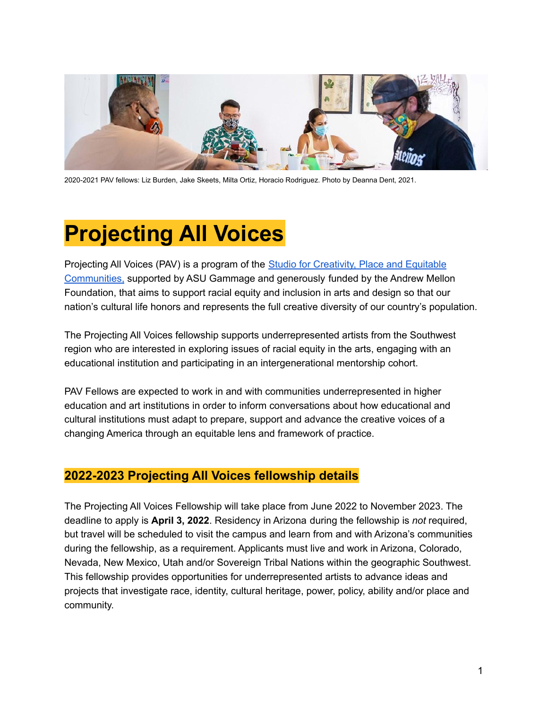

2020-2021 PAV fellows: Liz Burden, Jake Skeets, Milta Ortiz, Horacio Rodriguez. Photo by Deanna Dent, 2021.

# **Projecting All Voices**

Projecting All Voices (PAV) is a program of the Studio for [Creativity,](https://herbergerinstitute.asu.edu/research-and-initiatives/studio-creativity-place-and-equitable-communities) Place and Equitable [Communities,](https://herbergerinstitute.asu.edu/research-and-initiatives/studio-creativity-place-and-equitable-communities) supported by ASU Gammage and generously funded by the Andrew Mellon Foundation, that aims to support racial equity and inclusion in arts and design so that our nation's cultural life honors and represents the full creative diversity of our country's population.

The Projecting All Voices fellowship supports underrepresented artists from the Southwest region who are interested in exploring issues of racial equity in the arts, engaging with an educational institution and participating in an intergenerational mentorship cohort.

PAV Fellows are expected to work in and with communities underrepresented in higher education and art institutions in order to inform conversations about how educational and cultural institutions must adapt to prepare, support and advance the creative voices of a changing America through an equitable lens and framework of practice.

# **2022-2023 Projecting All Voices fellowship details**

The Projecting All Voices Fellowship will take place from June 2022 to November 2023. The deadline to apply is **April 3, 2022**. Residency in Arizona during the fellowship is *not* required, but travel will be scheduled to visit the campus and learn from and with Arizona's communities during the fellowship, as a requirement. Applicants must live and work in Arizona, Colorado, Nevada, New Mexico, Utah and/or Sovereign Tribal Nations within the geographic Southwest. This fellowship provides opportunities for underrepresented artists to advance ideas and projects that investigate race, identity, cultural heritage, power, policy, ability and/or place and community.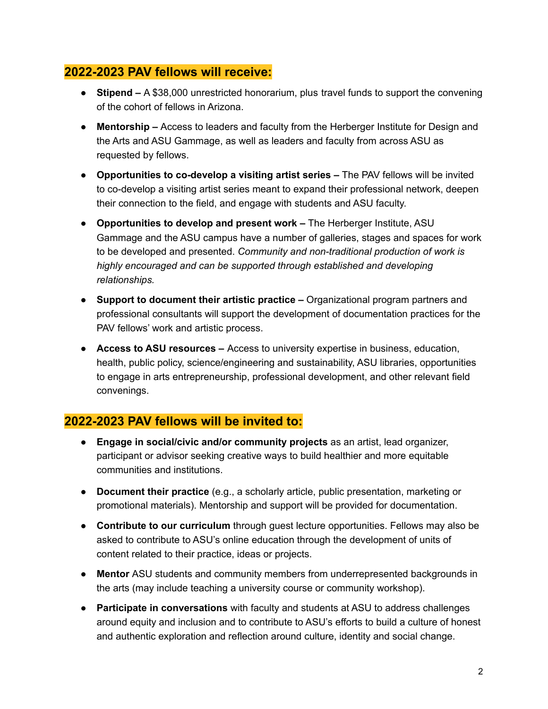## **2022-2023 PAV fellows will receive:**

- **Stipend –** A \$38,000 unrestricted honorarium, plus travel funds to support the convening of the cohort of fellows in Arizona.
- **Mentorship –** Access to leaders and faculty from the Herberger Institute for Design and the Arts and ASU Gammage, as well as leaders and faculty from across ASU as requested by fellows.
- **Opportunities to co-develop a visiting artist series –** The PAV fellows will be invited to co-develop a visiting artist series meant to expand their professional network, deepen their connection to the field, and engage with students and ASU faculty.
- *●* **Opportunities to develop and present work –** The Herberger Institute, ASU Gammage and the ASU campus have a number of galleries, stages and spaces for work to be developed and presented. *Community and non-traditional production of work is highly encouraged and can be supported through established and developing relationships.*
- **Support to document their artistic practice –** Organizational program partners and professional consultants will support the development of documentation practices for the PAV fellows' work and artistic process.
- **Access to ASU resources –** Access to university expertise in business, education, health, public policy, science/engineering and sustainability, ASU libraries, opportunities to engage in arts entrepreneurship, professional development, and other relevant field convenings.

# **2022-2023 PAV fellows will be invited to:**

- **Engage in social/civic and/or community projects** as an artist, lead organizer, participant or advisor seeking creative ways to build healthier and more equitable communities and institutions.
- **Document their practice** (e.g., a scholarly article, public presentation, marketing or promotional materials). Mentorship and support will be provided for documentation.
- **Contribute to our curriculum** through guest lecture opportunities. Fellows may also be asked to contribute to ASU's online education through the development of units of content related to their practice, ideas or projects.
- **Mentor** ASU students and community members from underrepresented backgrounds in the arts (may include teaching a university course or community workshop).
- **Participate in conversations** with faculty and students at ASU to address challenges around equity and inclusion and to contribute to ASU's efforts to build a culture of honest and authentic exploration and reflection around culture, identity and social change.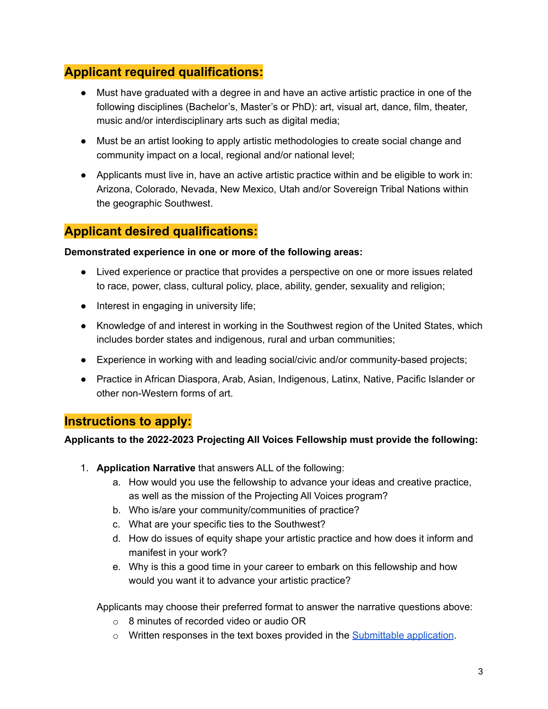# **Applicant required qualifications:**

- Must have graduated with a degree in and have an active artistic practice in one of the following disciplines (Bachelor's, Master's or PhD): art, visual art, dance, film, theater, music and/or interdisciplinary arts such as digital media;
- Must be an artist looking to apply artistic methodologies to create social change and community impact on a local, regional and/or national level;
- Applicants must live in, have an active artistic practice within and be eligible to work in: Arizona, Colorado, Nevada, New Mexico, Utah and/or Sovereign Tribal Nations within the geographic Southwest.

# **Applicant desired qualifications:**

## **Demonstrated experience in one or more of the following areas:**

- Lived experience or practice that provides a perspective on one or more issues related to race, power, class, cultural policy, place, ability, gender, sexuality and religion;
- Interest in engaging in university life;
- Knowledge of and interest in working in the Southwest region of the United States, which includes border states and indigenous, rural and urban communities;
- Experience in working with and leading social/civic and/or community-based projects;
- Practice in African Diaspora, Arab, Asian, Indigenous, Latinx, Native, Pacific Islander or other non-Western forms of art.

# **Instructions to apply:**

## **Applicants to the 2022-2023 Projecting All Voices Fellowship must provide the following:**

- 1. **Application Narrative** that answers ALL of the following:
	- a. How would you use the fellowship to advance your ideas and creative practice, as well as the mission of the Projecting All Voices program?
	- b. Who is/are your community/communities of practice?
	- c. What are your specific ties to the Southwest?
	- d. How do issues of equity shape your artistic practice and how does it inform and manifest in your work?
	- e. Why is this a good time in your career to embark on this fellowship and how would you want it to advance your artistic practice?

Applicants may choose their preferred format to answer the narrative questions above:

- o 8 minutes of recorded video or audio OR
- o Written responses in the text boxes provided in the **[Submittable](https://asuprojectingallvoices.submittable.com/submit/218138/2022-2023-projecting-all-voices-fellowship) application**.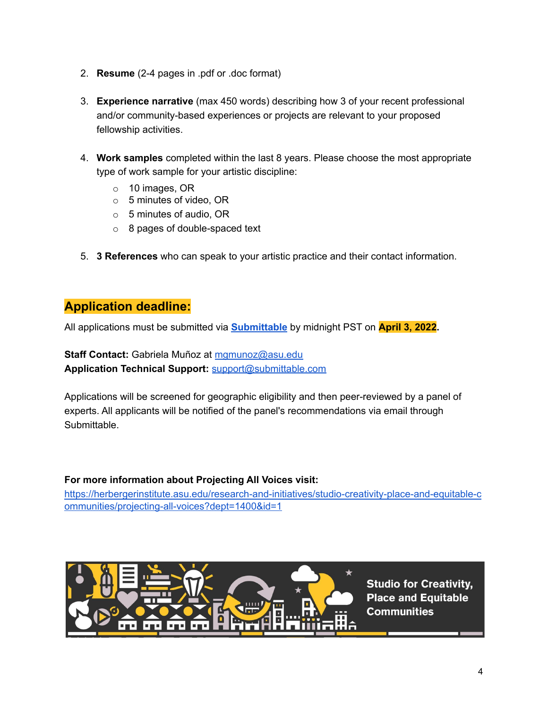- 2. **Resume** (2-4 pages in .pdf or .doc format)
- 3. **Experience narrative** (max 450 words) describing how 3 of your recent professional and/or community-based experiences or projects are relevant to your proposed fellowship activities.
- 4. **Work samples** completed within the last 8 years. Please choose the most appropriate type of work sample for your artistic discipline:
	- o 10 images, OR
	- o 5 minutes of video, OR
	- $\circ$  5 minutes of audio, OR
	- o 8 pages of double-spaced text
- 5. **3 References** who can speak to your artistic practice and their contact information.

## **Application deadline:**

All applications must be submitted via **[Submittable](https://asuprojectingallvoices.submittable.com/submit/218138/2022-2023-projecting-all-voices-fellowship)** by midnight PST on **April 3, 2022.**

**Staff Contact:** Gabriela Muñoz at [mgmunoz@asu.edu](mailto:mgmunoz@asu.edu) **Application Technical Support:** [support@submittable.com](mailto:support@submittable.com)

Applications will be screened for geographic eligibility and then peer-reviewed by a panel of experts. All applicants will be notified of the panel's recommendations via email through Submittable.

## **For more information about Projecting All Voices visit:**

[https://herbergerinstitute.asu.edu/research-and-initiatives/studio-creativity-place-and-equitable-c](https://herbergerinstitute.asu.edu/research-and-initiatives/studio-creativity-place-and-equitable-communities/projecting-all-voices?dept=1400&id=1) [ommunities/projecting-all-voices?dept=1400&id=1](https://herbergerinstitute.asu.edu/research-and-initiatives/studio-creativity-place-and-equitable-communities/projecting-all-voices?dept=1400&id=1)



**Studio for Creativity, Place and Equitable Communities**